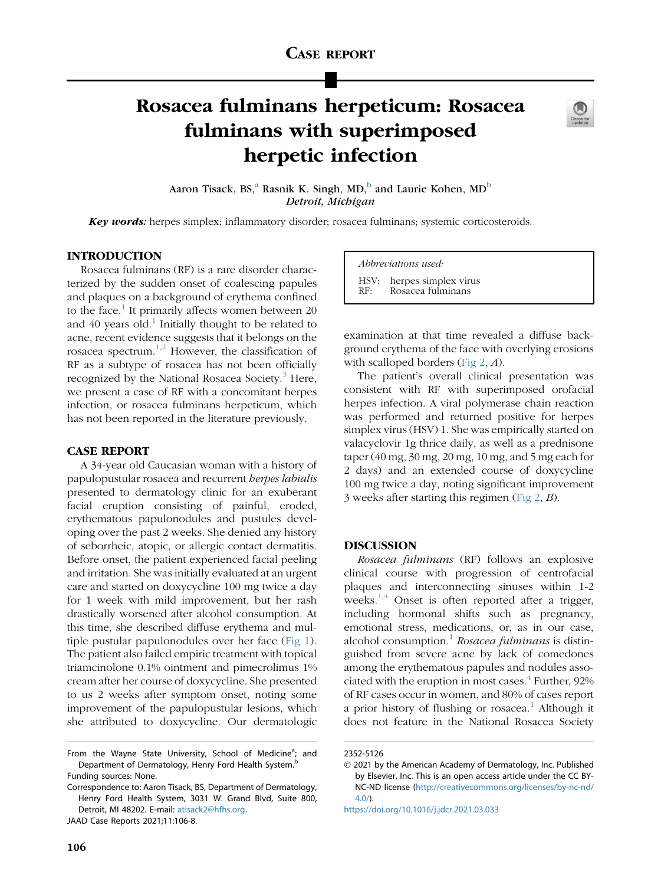# Rosacea fulminans herpeticum: Rosacea fulminans with superimposed herpetic infection



A[a](#page-0-0)ron Tisack, BS,<sup>a</sup> Rasnik K. Singh, MD,<sup>[b](#page-0-1)</sup> and Laurie Kohen, MD<sup>b</sup> *Detroit, Michigan* Detroit, Michigan

**Key words:** herpes simplex; inflammatory disorder; rosacea fulminans; systemic corticosteroids.

## INTRODUCTION

Rosacea fulminans (RF) is a rare disorder characterized by the sudden onset of coalescing papules and plaques on a background of erythema confined to the face.<sup>[1](#page-2-0)</sup> It primarily affects women between  $20$ and  $40$  years old.<sup>[1](#page-2-0)</sup> Initially thought to be related to acne, recent evidence suggests that it belongs on the rosacea spectrum.[1](#page-2-0)[,2](#page-2-1) However, the classification of RF as a subtype of rosacea has not been officially recognized by the National Rosacea Society. $3$  Here, we present a case of RF with a concomitant herpes infection, or rosacea fulminans herpeticum, which has not been reported in the literature previously.

#### CASE REPORT

A 34-year old Caucasian woman with a history of papulopustular rosacea and recurrent herpes labialis presented to dermatology clinic for an exuberant facial eruption consisting of painful, eroded, erythematous papulonodules and pustules developing over the past 2 weeks. She denied any history of seborrheic, atopic, or allergic contact dermatitis. Before onset, the patient experienced facial peeling and irritation. She was initially evaluated at an urgent care and started on doxycycline 100 mg twice a day for 1 week with mild improvement, but her rash drastically worsened after alcohol consumption. At this time, she described diffuse erythema and multiple pustular papulonodules over her face ([Fig 1](#page-1-0)). The patient also failed empiric treatment with topical triamcinolone 0.1% ointment and pimecrolimus 1% cream after her course of doxycycline. She presented to us 2 weeks after symptom onset, noting some improvement of the papulopustular lesions, which she attributed to doxycycline. Our dermatologic

Correspondence to: Aaron Tisack, BS, Department of Dermatology, Henry Ford Health System, 3031 W. Grand Blvd, Suite 800, Detroit, MI 48202. E-mail: [atisack2@hfhs.org](mailto:atisack2@hfhs.org).

JAAD Case Reports 2021;11:106-8.

Abbreviations used:

HSV: herpes simplex virus Rosacea fulminans

examination at that time revealed a diffuse background erythema of the face with overlying erosions with scalloped borders ([Fig 2](#page-1-1), A).

The patient's overall clinical presentation was consistent with RF with superimposed orofacial herpes infection. A viral polymerase chain reaction was performed and returned positive for herpes simplex virus (HSV) 1. She was empirically started on valacyclovir 1g thrice daily, as well as a prednisone taper  $(40 \text{ mg}, 30 \text{ mg}, 20 \text{ mg}, 10 \text{ mg},$  and 5 mg each for 2 days) and an extended course of doxycycline 100 mg twice a day, noting significant improvement 3 weeks after starting this regimen [\(Fig 2,](#page-1-1) B).

### DISCUSSION

Rosacea fulminans (RF) follows an explosive clinical course with progression of centrofacial plaques and interconnecting sinuses within 1-2 weeks. $1,4$  $1,4$  Onset is often reported after a trigger, including hormonal shifts such as pregnancy, emotional stress, medications, or, as in our case, alcohol consumption.<sup>[1](#page-2-0)</sup> Rosacea fulminans is distinguished from severe acne by lack of comedones among the erythematous papules and nodules associated with the eruption in most cases. $4$  Further, 92% of RF cases occur in women, and 80% of cases report a prior history of flushing or rosacea.<sup>[1](#page-2-0)</sup> Although it does not feature in the National Rosacea Society

<span id="page-0-1"></span><span id="page-0-0"></span>From the Wayne State University, School of Medicine<sup>a</sup>; and Department of Dermatology, Henry Ford Health System.<sup>b</sup> Funding sources: None.

<sup>2352-5126</sup>

2021 by the American Academy of Dermatology, Inc. Published by Elsevier, Inc. This is an open access article under the CC BY-NC-ND license [\(http://creativecommons.org/licenses/by-nc-nd/](http://creativecommons.org/licenses/by-nc-nd/4.0/)  $4.0/$ ).

<https://doi.org/10.1016/j.jdcr.2021.03.033>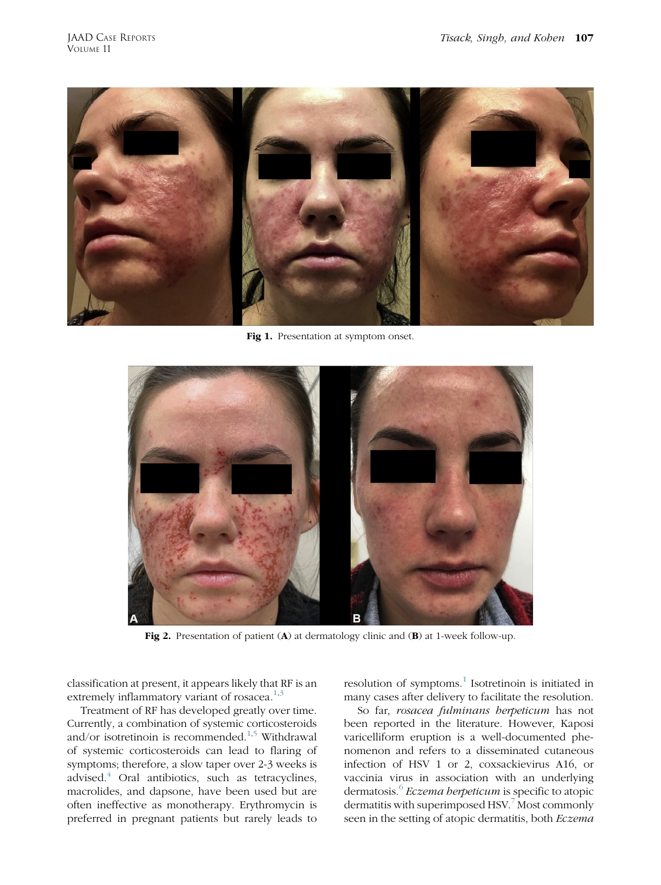<span id="page-1-0"></span>

Fig 1. Presentation at symptom onset.

<span id="page-1-1"></span>

Fig 2. Presentation of patient (A) at dermatology clinic and (B) at 1-week follow-up.

classification at present, it appears likely that RF is an extremely inflammatory variant of rosacea. $1,3$  $1,3$ 

Treatment of RF has developed greatly over time. Currently, a combination of systemic corticosteroids and/or isotretinoin is recommended.[1](#page-2-0)[,5](#page-2-4) Withdrawal of systemic corticosteroids can lead to flaring of symptoms; therefore, a slow taper over 2-3 weeks is advised.[4](#page-2-3) Oral antibiotics, such as tetracyclines, macrolides, and dapsone, have been used but are often ineffective as monotherapy. Erythromycin is preferred in pregnant patients but rarely leads to

resolution of symptoms.<sup>[1](#page-2-0)</sup> Isotretinoin is initiated in many cases after delivery to facilitate the resolution.

So far, rosacea fulminans herpeticum has not been reported in the literature. However, Kaposi varicelliform eruption is a well-documented phenomenon and refers to a disseminated cutaneous infection of HSV 1 or 2, coxsackievirus A16, or vaccinia virus in association with an underlying dermatosis.<sup>[6](#page-2-5)</sup> Eczema herpeticum is specific to atopic dermatitis with superimposed HSV.<sup>[7](#page-2-6)</sup> Most commonly seen in the setting of atopic dermatitis, both Eczema